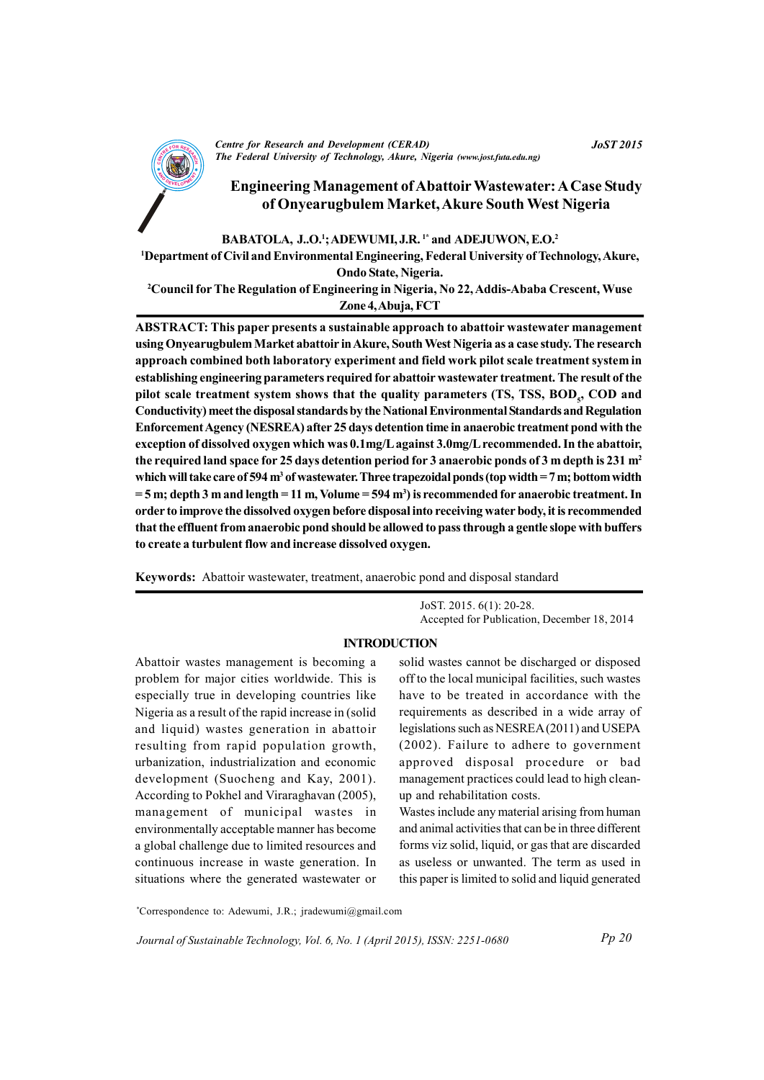

**Centre for Research and Development (CERAD)** The Federal University of Technology, Akure, Nigeria (www.jost.futa.edu.ng)

# **Engineering Management of Abattoir Wastewater: A Case Study** of Onyearugbulem Market, Akure South West Nigeria

# BABATOLA, J.,O.<sup>1</sup>; ADEWUMI, J.R.<sup>1\*</sup> and ADEJUWON, E.O.<sup>2</sup>

<sup>1</sup>Department of Civil and Environmental Engineering, Federal University of Technology, Akure, Ondo State, Nigeria.

<sup>2</sup>Council for The Regulation of Engineering in Nigeria, No 22, Addis-Ababa Crescent, Wuse Zone 4, Abuja, FCT

ABSTRACT: This paper presents a sustainable approach to abattoir wastewater management using Onyearugbulem Market abattoir in Akure, South West Nigeria as a case study. The research approach combined both laboratory experiment and field work pilot scale treatment system in establishing engineering parameters required for abattoir wastewater treatment. The result of the pilot scale treatment system shows that the quality parameters (TS, TSS, BOD, COD and Conductivity) meet the disposal standards by the National Environmental Standards and Regulation Enforcement Agency (NESREA) after 25 days detention time in anaerobic treatment pond with the exception of dissolved oxygen which was 0.1mg/L against 3.0mg/L recommended. In the abattoir, the required land space for 25 days detention period for 3 anaerobic ponds of 3 m depth is 231 m<sup>2</sup> which will take care of 594  $m<sup>3</sup>$  of wastewater. Three trapezoidal ponds (top width = 7 m; bottom width  $=$  5 m; depth 3 m and length = 11 m, Volume = 594 m<sup>3</sup>) is recommended for anaerobic treatment. In order to improve the dissolved oxygen before disposal into receiving water body, it is recommended that the effluent from anaerobic pond should be allowed to pass through a gentle slope with buffers to create a turbulent flow and increase dissolved oxygen.

**Keywords:** Abattoir wastewater, treatment, anaerobic pond and disposal standard

JoST. 2015. 6(1): 20-28. Accepted for Publication, December 18, 2014

## **INTRODUCTION**

Abattoir wastes management is becoming a problem for major cities worldwide. This is especially true in developing countries like Nigeria as a result of the rapid increase in (solid) and liquid) wastes generation in abattoir resulting from rapid population growth, urbanization, industrialization and economic development (Suocheng and Kay, 2001). According to Pokhel and Viraraghavan (2005), management of municipal wastes in environmentally acceptable manner has become a global challenge due to limited resources and continuous increase in waste generation. In situations where the generated wastewater or solid wastes cannot be discharged or disposed off to the local municipal facilities, such wastes have to be treated in accordance with the requirements as described in a wide array of legislations such as NESREA (2011) and USEPA  $(2002)$ . Failure to adhere to government approved disposal procedure or bad management practices could lead to high cleanup and rehabilitation costs.

Wastes include any material arising from human and animal activities that can be in three different forms viz solid, liquid, or gas that are discarded as useless or unwanted. The term as used in this paper is limited to solid and liquid generated

\*Correspondence to: Adewumi, J.R.; jradewumi@gmail.com

Journal of Sustainable Technology, Vol. 6, No. 1 (April 2015), ISSN: 2251-0680

**JoST 2015**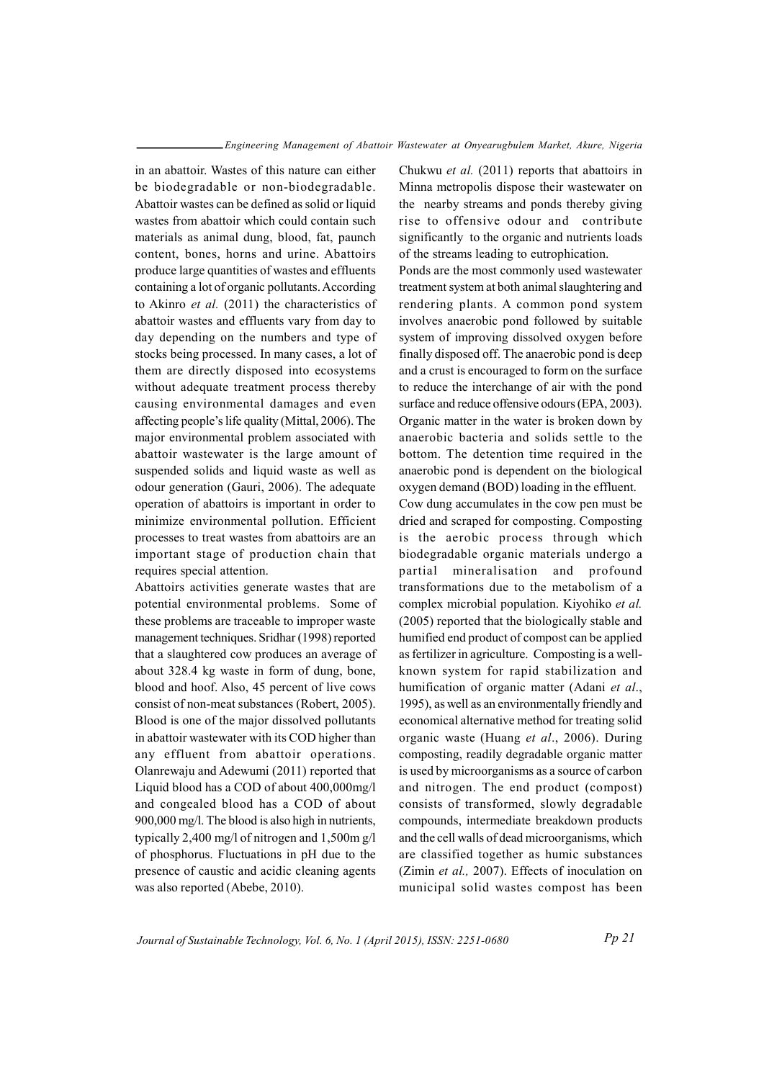in an abattoir. Wastes of this nature can either be biodegradable or non-biodegradable. Abattoir wastes can be defined as solid or liquid wastes from abattoir which could contain such materials as animal dung, blood, fat, paunch content, bones, horns and urine. Abattoirs produce large quantities of wastes and effluents containing a lot of organic pollutants. According to Akinro *et al.* (2011) the characteristics of abattoir wastes and effluents vary from day to day depending on the numbers and type of stocks being processed. In many cases, a lot of them are directly disposed into ecosystems without adequate treatment process thereby causing environmental damages and even affecting people's life quality (Mittal, 2006). The major environmental problem associated with abattoir wastewater is the large amount of suspended solids and liquid waste as well as odour generation (Gauri, 2006). The adequate operation of abattoirs is important in order to minimize environmental pollution. Efficient processes to treat wastes from abattoirs are an important stage of production chain that requires special attention.

Abattoirs activities generate wastes that are potential environmental problems. Some of these problems are traceable to improper waste management techniques. Sridhar (1998) reported that a slaughtered cow produces an average of about 328.4 kg waste in form of dung, bone, blood and hoof. Also, 45 percent of live cows consist of non-meat substances (Robert, 2005). Blood is one of the major dissolved pollutants in abattoir wastewater with its COD higher than any effluent from abattoir operations. Olanrewaju and Adewumi (2011) reported that Liquid blood has a COD of about 400,000mg/l and congealed blood has a COD of about 900,000 mg/l. The blood is also high in nutrients, typically 2,400 mg/l of nitrogen and 1,500m g/l of phosphorus. Fluctuations in pH due to the presence of caustic and acidic cleaning agents was also reported (Abebe, 2010).

Chukwu et al. (2011) reports that abattoirs in Minna metropolis dispose their wastewater on the nearby streams and ponds thereby giving rise to offensive odour and contribute significantly to the organic and nutrients loads of the streams leading to eutrophication.

Ponds are the most commonly used wastewater treatment system at both animal slaughtering and rendering plants. A common pond system involves anaerobic pond followed by suitable system of improving dissolved oxygen before finally disposed off. The anaerobic pond is deep and a crust is encouraged to form on the surface to reduce the interchange of air with the pond surface and reduce offensive odours (EPA, 2003). Organic matter in the water is broken down by anaerobic bacteria and solids settle to the bottom. The detention time required in the anaerobic pond is dependent on the biological oxygen demand (BOD) loading in the effluent.

Cow dung accumulates in the cow pen must be dried and scraped for composting. Composting is the aerobic process through which biodegradable organic materials undergo a partial mineralisation and profound transformations due to the metabolism of a complex microbial population. Kiyohiko et al. (2005) reported that the biologically stable and humified end product of compost can be applied as fertilizer in agriculture. Composting is a wellknown system for rapid stabilization and humification of organic matter (Adani et al., 1995), as well as an environmentally friendly and economical alternative method for treating solid organic waste (Huang et al., 2006). During composting, readily degradable organic matter is used by microorganisms as a source of carbon and nitrogen. The end product (compost) consists of transformed, slowly degradable compounds, intermediate breakdown products and the cell walls of dead microorganisms, which are classified together as humic substances (Zimin et al., 2007). Effects of inoculation on municipal solid wastes compost has been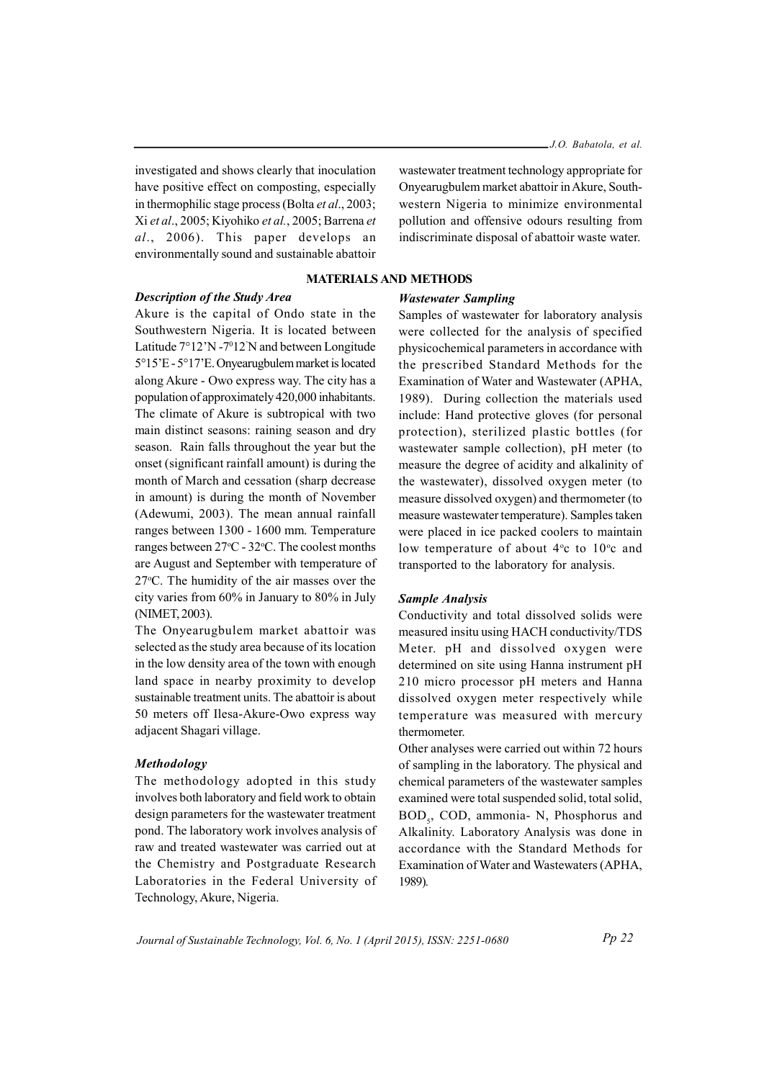investigated and shows clearly that inoculation have positive effect on composting, especially in thermophilic stage process (Bolta et al., 2003; Xi et al., 2005; Kiyohiko et al., 2005; Barrena et al., 2006). This paper develops an environmentally sound and sustainable abattoir

## **Description of the Study Area**

Akure is the capital of Ondo state in the Southwestern Nigeria. It is located between Latitude 7°12'N -7°12'N and between Longitude 5°15'E - 5°17'E. Onyearugbulem market is located along Akure - Owo express way. The city has a population of approximately 420,000 inhabitants. The climate of Akure is subtropical with two main distinct seasons: raining season and dry season. Rain falls throughout the year but the onset (significant rainfall amount) is during the month of March and cessation (sharp decrease in amount) is during the month of November (Adewumi, 2003). The mean annual rainfall ranges between 1300 - 1600 mm. Temperature ranges between 27°C - 32°C. The coolest months are August and September with temperature of 27°C. The humidity of the air masses over the city varies from 60% in January to 80% in July (NIMET, 2003).

The Onyearugbulem market abattoir was selected as the study area because of its location in the low density area of the town with enough land space in nearby proximity to develop sustainable treatment units. The abattoir is about 50 meters off Ilesa-Akure-Owo express way adjacent Shagari village.

## **Methodology**

The methodology adopted in this study involves both laboratory and field work to obtain design parameters for the wastewater treatment pond. The laboratory work involves analysis of raw and treated wastewater was carried out at the Chemistry and Postgraduate Research Laboratories in the Federal University of Technology, Akure, Nigeria.

was tewater treatment technology appropriate for Onyearugbulem market abattoir in Akure, Southwestern Nigeria to minimize environmental pollution and offensive odours resulting from indiscriminate disposal of abattoir waste water.

# **MATERIALS AND METHODS**

#### **Wastewater Sampling**

Samples of wastewater for laboratory analysis were collected for the analysis of specified physicochemical parameters in accordance with the prescribed Standard Methods for the Examination of Water and Wastewater (APHA, 1989). During collection the materials used include: Hand protective gloves (for personal protection), sterilized plastic bottles (for wastewater sample collection), pH meter (to measure the degree of acidity and alkalinity of the wastewater), dissolved oxygen meter (to measure dissolved oxygen) and thermometer (to measure wastewater temperature). Samples taken were placed in ice packed coolers to maintain low temperature of about 4°c to 10°c and transported to the laboratory for analysis.

#### **Sample Analysis**

Conductivity and total dissolved solids were measured insitu using HACH conductivity/TDS Meter. pH and dissolved oxygen were determined on site using Hanna instrument pH 210 micro processor pH meters and Hanna dissolved oxygen meter respectively while temperature was measured with mercury thermometer.

Other analyses were carried out within 72 hours of sampling in the laboratory. The physical and chemical parameters of the wastewater samples examined were total suspended solid, total solid, BOD<sub>c</sub>, COD, ammonia- N, Phosphorus and Alkalinity. Laboratory Analysis was done in accordance with the Standard Methods for Examination of Water and Wastewaters (APHA, 1989).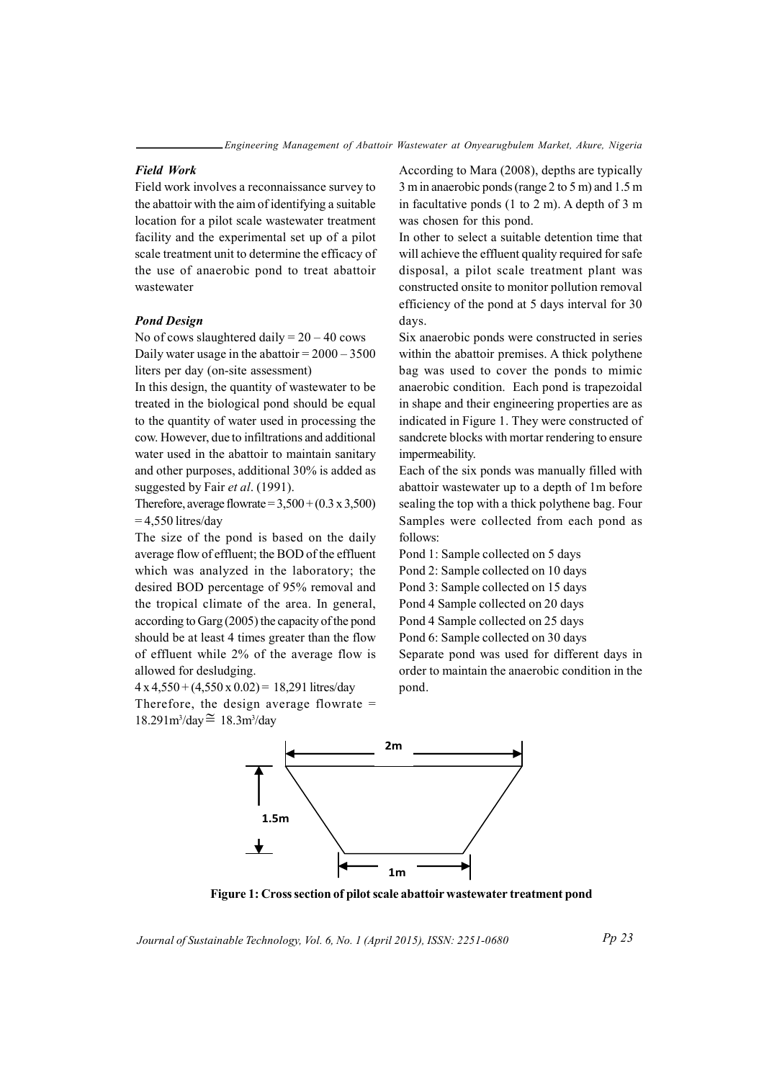### **Field Work**

Field work involves a reconnaissance survey to the abattoir with the aim of identifying a suitable location for a pilot scale wastewater treatment facility and the experimental set up of a pilot scale treatment unit to determine the efficacy of the use of anaerobic pond to treat abattoir wastewater

#### **Pond Design**

No of cows slaughtered daily =  $20 - 40$  cows Daily water usage in the abattoir =  $2000 - 3500$ liters per day (on-site assessment)

In this design, the quantity of was tewater to be treated in the biological pond should be equal to the quantity of water used in processing the cow. However, due to infiltrations and additional water used in the abattoir to maintain sanitary and other purposes, additional 30% is added as suggested by Fair et al. (1991).

Therefore, average flowrate =  $3,500 + (0.3 \times 3,500)$  $= 4,550$  litres/day

The size of the pond is based on the daily average flow of effluent; the BOD of the effluent which was analyzed in the laboratory; the desired BOD percentage of 95% removal and the tropical climate of the area. In general, according to Garg (2005) the capacity of the pond should be at least 4 times greater than the flow of effluent while 2% of the average flow is allowed for desludging.

 $4 \times 4,550 + (4,550 \times 0.02) = 18,291$  litres/day

Therefore, the design average flowrate  $=$  $18.291m^3$ /day $\approx 18.3m^3$ /day

According to Mara (2008), depths are typically 3 m in anaerobic ponds (range 2 to 5 m) and 1.5 m in facultative ponds (1 to 2 m). A depth of 3 m was chosen for this pond.

In other to select a suitable detention time that will achieve the effluent quality required for safe disposal, a pilot scale treatment plant was constructed onsite to monitor pollution removal efficiency of the pond at 5 days interval for 30 days.

Six anaerobic ponds were constructed in series within the abattoir premises. A thick polythene bag was used to cover the ponds to mimic anaerobic condition. Each pond is trapezoidal in shape and their engineering properties are as indicated in Figure 1. They were constructed of sandcrete blocks with mortar rendering to ensure impermeability.

Each of the six ponds was manually filled with abattoir wastewater up to a depth of 1m before sealing the top with a thick polythene bag. Four Samples were collected from each pond as follows:

Pond 1: Sample collected on 5 days

Pond 2: Sample collected on 10 days

Pond 3: Sample collected on 15 days

Pond 4 Sample collected on 20 days

Pond 4 Sample collected on 25 days

Pond 6: Sample collected on 30 days

Separate pond was used for different days in order to maintain the anaerobic condition in the pond.



Figure 1: Cross section of pilot scale abattoir wastewater treatment pond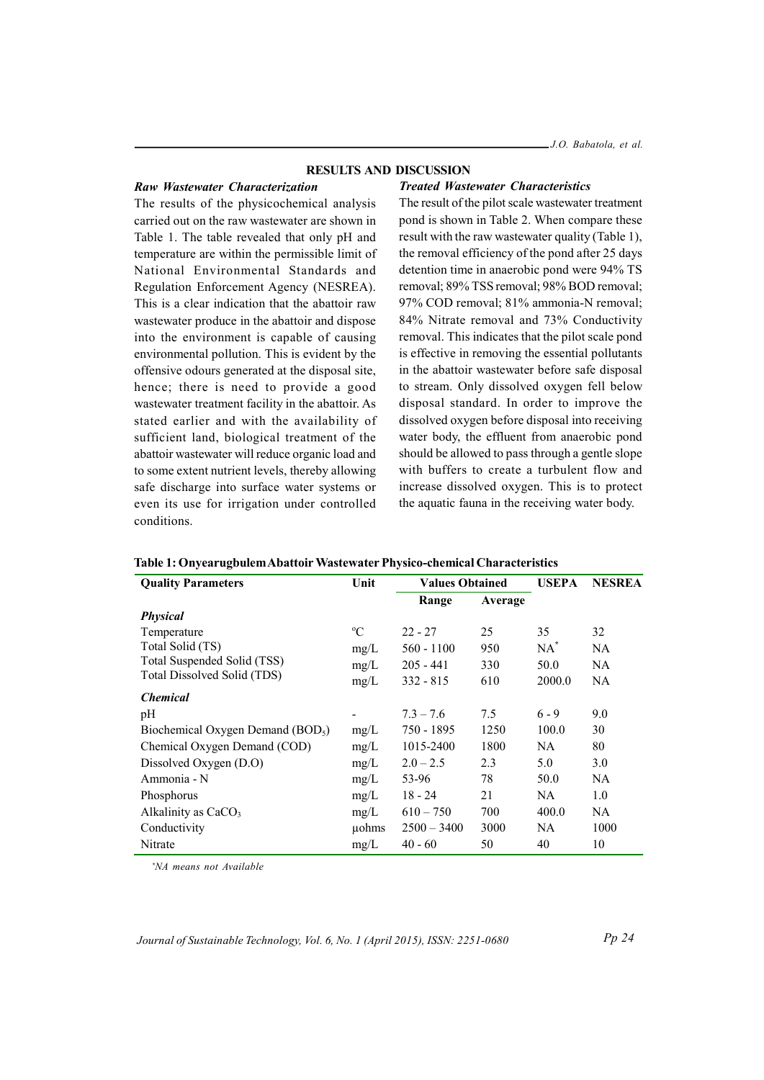#### **RESULTS AND DISCUSSION**

#### Raw Wastewater Characterization

**Treated Wastewater Characteristics** 

The results of the physicochemical analysis carried out on the raw wastewater are shown in Table 1. The table revealed that only pH and temperature are within the permissible limit of National Environmental Standards and Regulation Enforcement Agency (NESREA). This is a clear indication that the abattoir raw wastewater produce in the abattoir and dispose into the environment is capable of causing environmental pollution. This is evident by the offensive odours generated at the disposal site, hence; there is need to provide a good wastewater treatment facility in the abattoir. As stated earlier and with the availability of sufficient land, biological treatment of the abattoir wastewater will reduce organic load and to some extent nutrient levels, thereby allowing safe discharge into surface water systems or even its use for irrigation under controlled conditions.

The result of the pilot scale wastewater treatment pond is shown in Table 2. When compare these result with the raw was tewater quality (Table 1), the removal efficiency of the pond after 25 days detention time in anaerobic pond were 94% TS removal; 89% TSS removal; 98% BOD removal; 97% COD removal: 81% ammonia-N removal: 84% Nitrate removal and 73% Conductivity removal. This indicates that the pilot scale pond is effective in removing the essential pollutants in the abattoir wastewater before safe disposal to stream. Only dissolved oxygen fell below disposal standard. In order to improve the dissolved oxygen before disposal into receiving water body, the effluent from anaerobic pond should be allowed to pass through a gentle slope with buffers to create a turbulent flow and increase dissolved oxygen. This is to protect the aquatic fauna in the receiving water body.

| <b>Quality Parameters</b>          | Unit        | <b>Values Obtained</b> |         | <b>USEPA</b> | <b>NESREA</b> |
|------------------------------------|-------------|------------------------|---------|--------------|---------------|
|                                    |             | Range                  | Average |              |               |
| <b>Physical</b>                    |             |                        |         |              |               |
| Temperature                        | $\rm ^{o}C$ | $22 - 27$              | 25      | 35           | 32            |
| Total Solid (TS)                   | mg/L        | $560 - 1100$           | 950     | $NA^*$       | NA            |
| Total Suspended Solid (TSS)        | mg/L        | $205 - 441$            | 330     | 50.0         | NA            |
| Total Dissolved Solid (TDS)        | mg/L        | $332 - 815$            | 610     | 2000.0       | <b>NA</b>     |
| <b>Chemical</b>                    |             |                        |         |              |               |
| pH                                 |             | $7.3 - 7.6$            | 7.5     | $6 - 9$      | 9.0           |
| Biochemical Oxygen Demand $(BOD5)$ | mg/L        | 750 - 1895             | 1250    | 100.0        | 30            |
| Chemical Oxygen Demand (COD)       | mg/L        | 1015-2400              | 1800    | NA.          | 80            |
| Dissolved Oxygen (D.O)             | mg/L        | $2.0 - 2.5$            | 2.3     | 5.0          | 3.0           |
| Ammonia - N                        | mg/L        | 53-96                  | 78      | 50.0         | NA            |
| Phosphorus                         | mg/L        | $18 - 24$              | 21      | NA.          | 1.0           |
| Alkalinity as CaCO <sub>3</sub>    | mg/L        | $610 - 750$            | 700     | 400.0        | NA            |
| Conductivity                       | uohms       | $2500 - 3400$          | 3000    | NA.          | 1000          |
| Nitrate                            | mg/L        | $40 - 60$              | 50      | 40           | 10            |

Table 1: Onvearugbulem Abattoir Wastewater Physico-chemical Characteristics

\*NA means not Available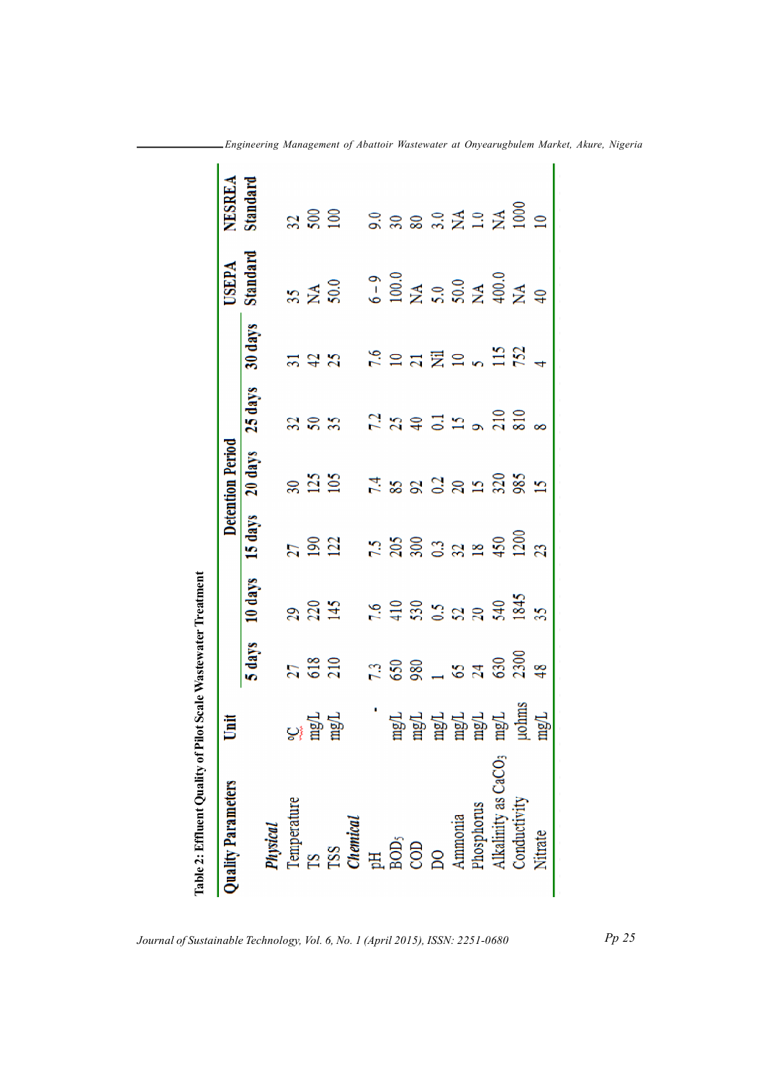| Quality Parameters              |                                                            |                  |                     |                               | <b>Detention Period</b> |                  |                                                                      | <b>USEPA</b>                                            | NESREA          |
|---------------------------------|------------------------------------------------------------|------------------|---------------------|-------------------------------|-------------------------|------------------|----------------------------------------------------------------------|---------------------------------------------------------|-----------------|
|                                 |                                                            | 5 days           | 10 days             | 15 days                       | 20 days                 | 25 days          | 30 days                                                              | Standard                                                | Standard        |
|                                 |                                                            |                  |                     |                               |                         |                  |                                                                      |                                                         |                 |
| Physical<br>Temperature         |                                                            |                  |                     |                               |                         |                  |                                                                      |                                                         |                 |
| g                               | <u>ិន្ត គ្ន</u><br>សំដូ                                    | $\frac{27}{618}$ | 228                 | $\frac{27}{190}$              |                         | $32$<br>$58$     | $rac{2}{25}$                                                         | $\frac{35}{N\AA}$                                       | $\frac{2}{500}$ |
|                                 |                                                            |                  |                     |                               |                         |                  |                                                                      |                                                         |                 |
| TSS<br>Chemical                 |                                                            |                  |                     |                               |                         |                  |                                                                      |                                                         |                 |
|                                 |                                                            |                  |                     |                               |                         |                  |                                                                      |                                                         |                 |
| E SO<br>SO<br>CO                |                                                            |                  |                     |                               |                         |                  | $\frac{6}{5}$                                                        |                                                         |                 |
|                                 |                                                            |                  |                     |                               |                         |                  |                                                                      |                                                         |                 |
| $\overline{a}$                  | 다. 그 사이 그 사이 그 사이 그 사이 있다.<br>그 사이 그 사이 그 사이 그 사이 그 사이 있다. | $7.88 - 87$      | <b>E = 22322425</b> | 7.5<br>2003 32 24 26 26 27 29 | 7.88238288              | $7.3773$ $-3.58$ | $\overline{a}$ $\overline{z}$ $\approx$ $\frac{1}{2}$ $\overline{z}$ | $6 - 9$<br>100.0<br>5.0<br>5.0<br>5.0<br>40<br>40<br>40 | 3.88.32328      |
| Ammonia<br>Phosphorus           |                                                            |                  |                     |                               |                         |                  |                                                                      |                                                         |                 |
|                                 |                                                            |                  |                     |                               |                         |                  |                                                                      |                                                         |                 |
| Alkalinity as CaCO <sub>3</sub> |                                                            | 630              |                     |                               |                         |                  |                                                                      |                                                         |                 |
| Conductivity                    | uohms                                                      | 2300             |                     |                               |                         |                  |                                                                      |                                                         |                 |
| Nitrate                         | mgL                                                        | $\frac{8}{4}$    |                     |                               | $\mathbf{E}$            |                  |                                                                      |                                                         | $\triangleq$    |

Engineering Management of Abattoir Wastewater at Onyearugbulem Market, Akure, Nigeria

 $Pp 25$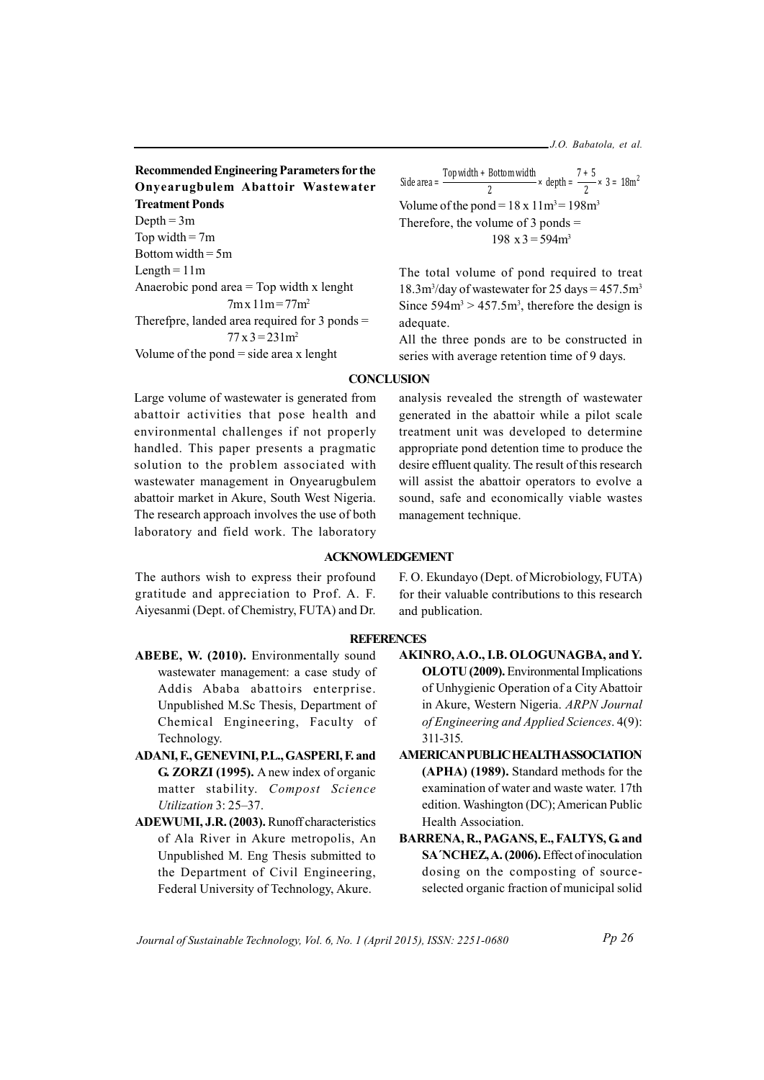J.O. Babatola, et al.

**Recommended Engineering Parameters for the** Onvearugbulem Abattoir Wastewater **Treatment Ponds** Depth =  $3m$ Top width =  $7m$ Bottom width =  $5m$ Length  $= 11m$ Anaerobic pond area  $=$  Top width x lenght  $7mx 11m = 77m^2$ Therefpre, landed area required for  $3$  ponds =  $77x3 = 231m^2$ Volume of the pond  $=$  side area x lenght

Side area =  $\frac{\text{Top width + Bottom width}}{2} \times \text{depth} = \frac{7+5}{2} \times 3 = 18 \text{m}^2$ Volume of the pond =  $18 \times 11 \text{ m}^3$  =  $198 \text{ m}^3$ Therefore, the volume of  $3$  ponds =  $198 \text{ x } 3 = 594 \text{ m}^3$ 

The total volume of pond required to treat  $18.3 \text{m}^3$ /day of wastewater for 25 days = 457.5m<sup>3</sup> Since  $594m^3 > 457.5m^3$ , therefore the design is adequate.

All the three ponds are to be constructed in series with average retention time of 9 days.

analysis revealed the strength of wastewater

generated in the abattoir while a pilot scale

treatment unit was developed to determine

appropriate pond detention time to produce the desire effluent quality. The result of this research

will assist the abattoir operators to evolve a sound, safe and economically viable wastes

management technique.

# **CONCLUSION**

Large volume of wastewater is generated from abattoir activities that pose health and environmental challenges if not properly handled. This paper presents a pragmatic solution to the problem associated with wastewater management in Onyearugbulem abattoir market in Akure, South West Nigeria. The research approach involves the use of both laboratory and field work. The laboratory

The authors wish to express their profound gratitude and appreciation to Prof. A. F. Aiyesanmi (Dept. of Chemistry, FUTA) and Dr.

### **REFERENCES**

**ACKNOWLEDGEMENT** 

- ABEBE, W. (2010). Environmentally sound wastewater management: a case study of Addis Ababa abattoirs enterprise. Unpublished M.Sc Thesis, Department of Chemical Engineering, Faculty of Technology.
- ADANI, F., GENEVINI, P.L., GASPERI, F. and G. ZORZI (1995). A new index of organic matter stability. Compost Science Utilization 3: 25-37.
- **ADEWUMI, J.R. (2003).** Runoff characteristics of Ala River in Akure metropolis, An Unpublished M. Eng Thesis submitted to the Department of Civil Engineering, Federal University of Technology, Akure.

F. O. Ekundayo (Dept. of Microbiology, FUTA) for their valuable contributions to this research and publication.

- AKINRO, A.O., I.B. OLOGUNAGBA, and Y. **OLOTU** (2009). Environmental Implications of Unhygienic Operation of a City Abattoir in Akure, Western Nigeria. ARPN Journal of Engineering and Applied Sciences. 4(9): 311-315
- **AMERICAN PUBLIC HEALTH ASSOCIATION** (APHA) (1989). Standard methods for the examination of water and waste water. 17th edition. Washington (DC); American Public Health Association.
- BARRENA, R., PAGANS, E., FALTYS, G. and SA NCHEZ, A. (2006). Effect of inoculation dosing on the composting of sourceselected organic fraction of municipal solid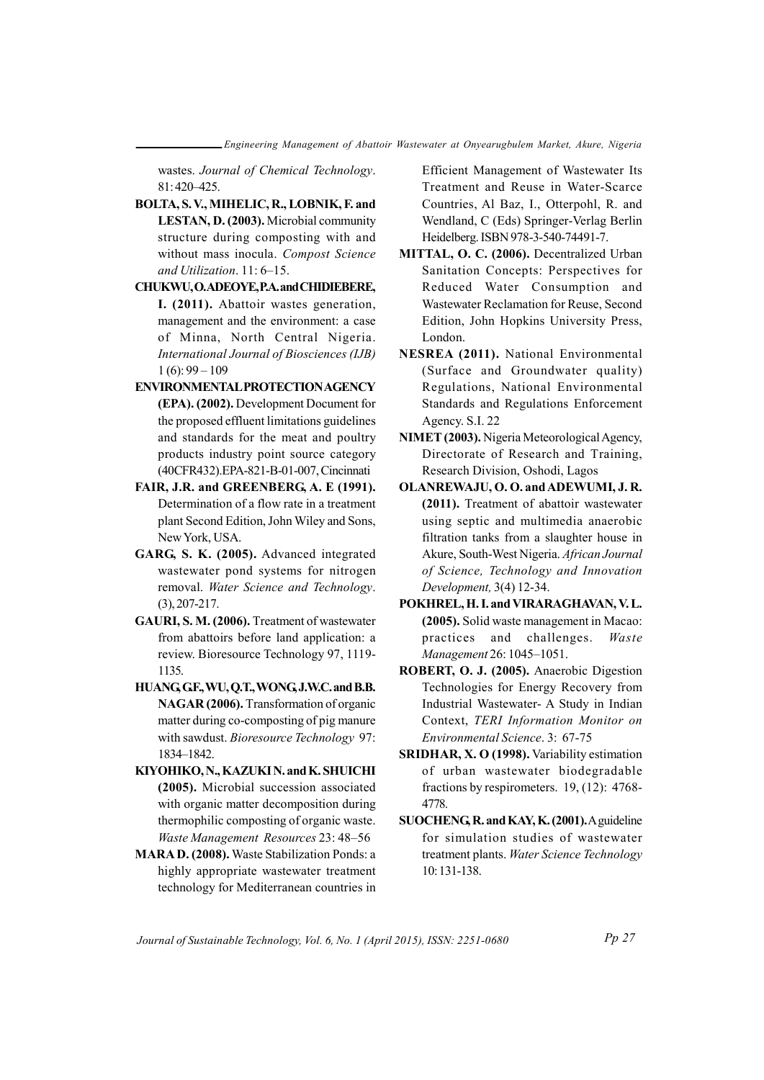wastes. Journal of Chemical Technology. 81:420-425.

- BOLTA, S.V., MIHELIC, R., LOBNIK, F. and LESTAN, D. (2003). Microbial community structure during composting with and without mass inocula. Compost Science and Utilization. 11: 6-15.
- CHUKWU, O.ADEOYE, P.A. and CHIDIEBERE, I. (2011). Abattoir wastes generation, management and the environment: a case of Minna, North Central Nigeria. International Journal of Biosciences (IJB)  $1(6): 99 - 109$
- **ENVIRONMENTAL PROTECTION AGENCY** (EPA). (2002). Development Document for the proposed effluent limitations guidelines and standards for the meat and poultry products industry point source category (40CFR432).EPA-821-B-01-007. Cincinnati
- FAIR, J.R. and GREENBERG, A. E (1991). Determination of a flow rate in a treatment plant Second Edition, John Wiley and Sons, New York, USA.
- GARG, S. K. (2005). Advanced integrated wastewater pond systems for nitrogen removal. Water Science and Technology.  $(3), 207 - 217.$
- GAURI, S. M. (2006). Treatment of wastewater from abattoirs before land application: a review. Bioresource Technology 97, 1119-1135.
- HUANG GF., WU, O.T., WONG J.W.C. and B.B. NAGAR (2006). Transformation of organic matter during co-composting of pig manure with sawdust. Bioresource Technology 97: 1834-1842.
- KIYOHIKO, N., KAZUKIN. and K. SHUICHI (2005). Microbial succession associated with organic matter decomposition during thermophilic composting of organic waste. Waste Management Resources 23: 48-56
- MARA D. (2008). Waste Stabilization Ponds: a highly appropriate wastewater treatment technology for Mediterranean countries in

Efficient Management of Wastewater Its Treatment and Reuse in Water-Scarce Countries, Al Baz, I., Otterpohl, R. and Wendland, C (Eds) Springer-Verlag Berlin Heidelberg. ISBN 978-3-540-74491-7.

- MITTAL, O. C. (2006). Decentralized Urban Sanitation Concepts: Perspectives for Reduced Water Consumption and Wastewater Reclamation for Reuse, Second Edition, John Hopkins University Press, London.
- NESREA (2011). National Environmental (Surface and Groundwater quality) Regulations, National Environmental Standards and Regulations Enforcement Agency, S.I. 22
- NIMET (2003). Nigeria Meteorological Agency, Directorate of Research and Training, Research Division, Oshodi, Lagos
- OLANREWAJU, O.O. and ADEWUMI, J.R. (2011). Treatment of abattoir wastewater using septic and multimedia anaerobic filtration tanks from a slaughter house in Akure, South-West Nigeria. African Journal of Science, Technology and Innovation Development, 3(4) 12-34.
- POKHREL, H. I. and VIRARAGHAVAN, V. L. (2005). Solid waste management in Macao: practices and challenges. Waste Management 26: 1045-1051.
- ROBERT, O. J. (2005). Anaerobic Digestion Technologies for Energy Recovery from Industrial Wastewater- A Study in Indian Context, TERI Information Monitor on Environmental Science. 3: 67-75
- SRIDHAR, X. O (1998). Variability estimation of urban wastewater biodegradable fractions by respirometers.  $19, (12)$ : 4768-4778
- SUOCHENG, R. and KAY, K. (2001). A guideline for simulation studies of wastewater treatment plants. Water Science Technology 10:131-138.